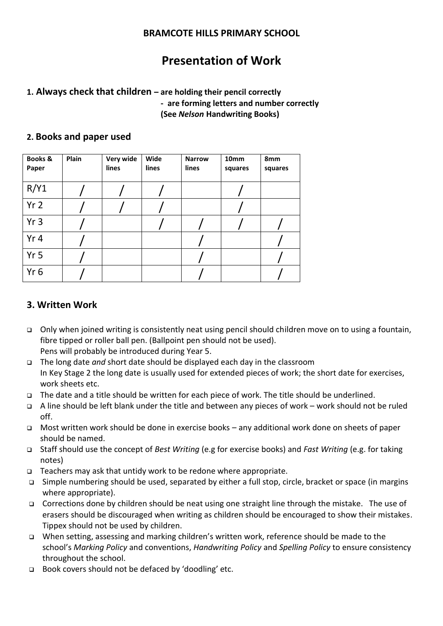#### **BRAMCOTE HILLS PRIMARY SCHOOL**

# **Presentation of Work**

### **1. Always check that children – are holding their pencil correctly - are forming letters and number correctly (See** *Nelson* **Handwriting Books)**

#### **2. Books and paper used**

| <b>Books &amp;</b><br>Paper | Plain | Very wide<br>lines | Wide<br>lines | <b>Narrow</b><br>lines | 10 <sub>mm</sub><br>squares | 8mm<br>squares |
|-----------------------------|-------|--------------------|---------------|------------------------|-----------------------------|----------------|
| R/Y1                        |       |                    |               |                        |                             |                |
| Yr <sub>2</sub>             |       |                    |               |                        |                             |                |
| Yr 3                        |       |                    |               |                        |                             |                |
| Yr 4                        |       |                    |               |                        |                             |                |
| Yr <sub>5</sub>             |       |                    |               |                        |                             |                |
| Yr <sub>6</sub>             |       |                    |               |                        |                             |                |

## **3. Written Work**

- Only when joined writing is consistently neat using pencil should children move on to using a fountain, fibre tipped or roller ball pen. (Ballpoint pen should not be used). Pens will probably be introduced during Year 5.
- The long date *and* short date should be displayed each day in the classroom In Key Stage 2 the long date is usually used for extended pieces of work; the short date for exercises, work sheets etc.
- The date and a title should be written for each piece of work. The title should be underlined.
- A line should be left blank under the title and between any pieces of work work should not be ruled off.
- Most written work should be done in exercise books any additional work done on sheets of paper should be named.
- Staff should use the concept of *Best Writing* (e.g for exercise books) and *Fast Writing* (e.g. for taking notes)
- $\Box$  Teachers may ask that untidy work to be redone where appropriate.
- Simple numbering should be used, separated by either a full stop, circle, bracket or space (in margins where appropriate).
- □ Corrections done by children should be neat using one straight line through the mistake. The use of erasers should be discouraged when writing as children should be encouraged to show their mistakes. Tippex should not be used by children.
- When setting, assessing and marking children's written work, reference should be made to the school's *Marking Policy* and conventions, *Handwriting Policy* and *Spelling Policy* to ensure consistency throughout the school.
- □ Book covers should not be defaced by 'doodling' etc.